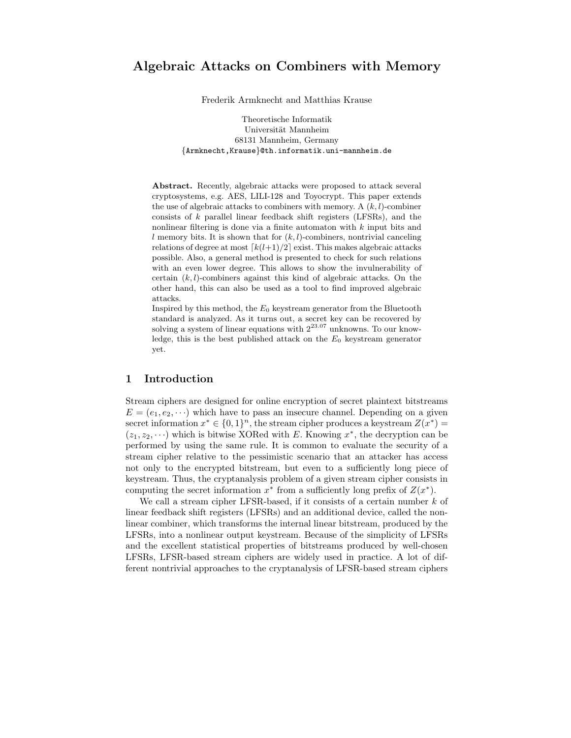Frederik Armknecht and Matthias Krause

Theoretische Informatik Universität Mannheim 68131 Mannheim, Germany {Armknecht,Krause}@th.informatik.uni-mannheim.de

Abstract. Recently, algebraic attacks were proposed to attack several cryptosystems, e.g. AES, LILI-128 and Toyocrypt. This paper extends the use of algebraic attacks to combiners with memory. A  $(k, l)$ -combiner consists of  $k$  parallel linear feedback shift registers (LFSRs), and the nonlinear filtering is done via a finite automaton with k input bits and l memory bits. It is shown that for  $(k, l)$ -combiners, nontrivial canceling relations of degree at most  $\lceil k(l+1)/2 \rceil$  exist. This makes algebraic attacks possible. Also, a general method is presented to check for such relations with an even lower degree. This allows to show the invulnerability of certain  $(k, l)$ -combiners against this kind of algebraic attacks. On the other hand, this can also be used as a tool to find improved algebraic attacks.

Inspired by this method, the  $E_0$  keystream generator from the Bluetooth standard is analyzed. As it turns out, a secret key can be recovered by solving a system of linear equations with  $2^{23.07}$  unknowns. To our knowledge, this is the best published attack on the  $E_0$  keystream generator yet.

# 1 Introduction

Stream ciphers are designed for online encryption of secret plaintext bitstreams  $E = (e_1, e_2, \dots)$  which have to pass an insecure channel. Depending on a given secret information  $x^* \in \{0,1\}^n$ , the stream cipher produces a keystream  $Z(x^*) =$  $(z_1, z_2, \dots)$  which is bitwise XORed with E. Knowing  $x^*$ , the decryption can be performed by using the same rule. It is common to evaluate the security of a stream cipher relative to the pessimistic scenario that an attacker has access not only to the encrypted bitstream, but even to a sufficiently long piece of keystream. Thus, the cryptanalysis problem of a given stream cipher consists in computing the secret information  $x^*$  from a sufficiently long prefix of  $Z(x^*)$ .

We call a stream cipher LFSR-based, if it consists of a certain number  $k$  of linear feedback shift registers (LFSRs) and an additional device, called the nonlinear combiner, which transforms the internal linear bitstream, produced by the LFSRs, into a nonlinear output keystream. Because of the simplicity of LFSRs and the excellent statistical properties of bitstreams produced by well-chosen LFSRs, LFSR-based stream ciphers are widely used in practice. A lot of different nontrivial approaches to the cryptanalysis of LFSR-based stream ciphers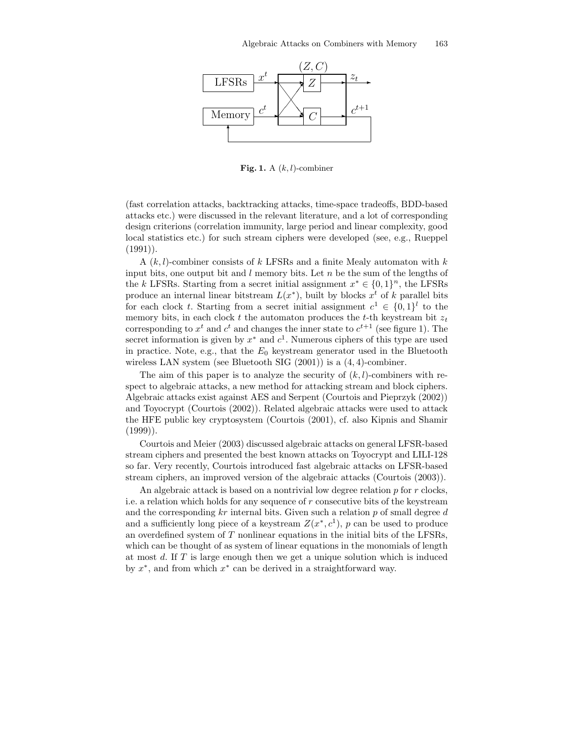

Fig. 1. A  $(k, l)$ -combiner

(fast correlation attacks, backtracking attacks, time-space tradeoffs, BDD-based attacks etc.) were discussed in the relevant literature, and a lot of corresponding design criterions (correlation immunity, large period and linear complexity, good local statistics etc.) for such stream ciphers were developed (see, e.g., Rueppel  $(1991)$ .

A  $(k, l)$ -combiner consists of k LFSRs and a finite Mealy automaton with k input bits, one output bit and  $l$  memory bits. Let  $n$  be the sum of the lengths of the k LFSRs. Starting from a secret initial assignment  $x^* \in \{0,1\}^n$ , the LFSRs produce an internal linear bitstream  $L(x^*)$ , built by blocks  $x^t$  of k parallel bits for each clock t. Starting from a secret initial assignment  $c^1 \in \{0,1\}^l$  to the memory bits, in each clock t the automaton produces the t-th keystream bit  $z_t$ corresponding to  $x^t$  and  $c^t$  and changes the inner state to  $c^{t+1}$  (see figure 1). The secret information is given by  $x^*$  and  $c^1$ . Numerous ciphers of this type are used in practice. Note, e.g., that the  $E_0$  keystream generator used in the Bluetooth wireless LAN system (see Bluetooth SIG (2001)) is a (4, 4)-combiner.

The aim of this paper is to analyze the security of  $(k, l)$ -combiners with respect to algebraic attacks, a new method for attacking stream and block ciphers. Algebraic attacks exist against AES and Serpent (Courtois and Pieprzyk (2002)) and Toyocrypt (Courtois (2002)). Related algebraic attacks were used to attack the HFE public key cryptosystem (Courtois (2001), cf. also Kipnis and Shamir (1999)).

Courtois and Meier (2003) discussed algebraic attacks on general LFSR-based stream ciphers and presented the best known attacks on Toyocrypt and LILI-128 so far. Very recently, Courtois introduced fast algebraic attacks on LFSR-based stream ciphers, an improved version of the algebraic attacks (Courtois (2003)).

An algebraic attack is based on a nontrivial low degree relation  $p$  for  $r$  clocks, i.e. a relation which holds for any sequence of r consecutive bits of the keystream and the corresponding  $kr$  internal bits. Given such a relation  $p$  of small degree  $d$ and a sufficiently long piece of a keystream  $Z(x^*, c^1)$ , p can be used to produce an overdefined system of  $T$  nonlinear equations in the initial bits of the LFSRs, which can be thought of as system of linear equations in the monomials of length at most  $d$ . If  $T$  is large enough then we get a unique solution which is induced by  $x^*$ , and from which  $x^*$  can be derived in a straightforward way.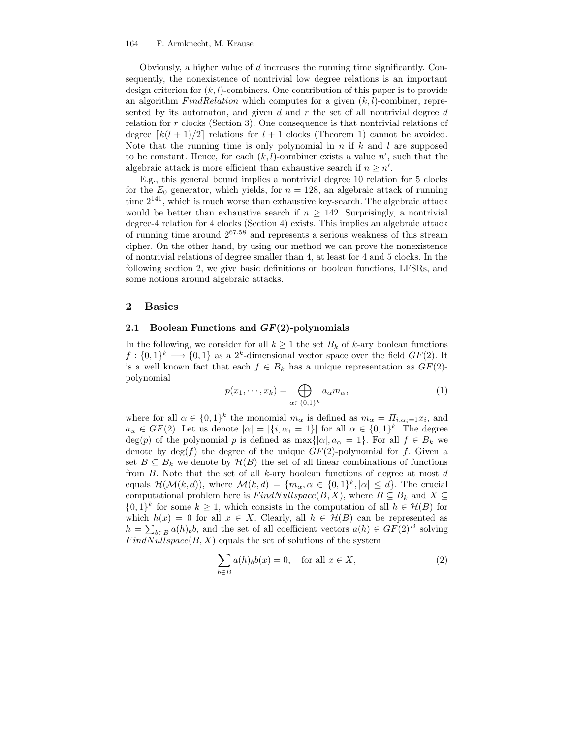#### 164 F. Armknecht, M. Krause

Obviously, a higher value of d increases the running time significantly. Consequently, the nonexistence of nontrivial low degree relations is an important design criterion for  $(k, l)$ -combiners. One contribution of this paper is to provide an algorithm  $FindRelation$  which computes for a given  $(k, l)$ -combiner, represented by its automaton, and given  $d$  and  $r$  the set of all nontrivial degree  $d$ relation for r clocks (Section 3). One consequence is that nontrivial relations of degree  $\lceil k(l + 1)/2 \rceil$  relations for  $l + 1$  clocks (Theorem 1) cannot be avoided. Note that the running time is only polynomial in  $n$  if  $k$  and  $l$  are supposed to be constant. Hence, for each  $(k, l)$ -combiner exists a value  $n'$ , such that the algebraic attack is more efficient than exhaustive search if  $n \geq n'$ .

E.g., this general bound implies a nontrivial degree 10 relation for 5 clocks for the  $E_0$  generator, which yields, for  $n = 128$ , an algebraic attack of running time  $2^{141}$ , which is much worse than exhaustive key-search. The algebraic attack would be better than exhaustive search if  $n \geq 142$ . Surprisingly, a nontrivial degree-4 relation for 4 clocks (Section 4) exists. This implies an algebraic attack of running time around 2 <sup>67</sup>.<sup>58</sup> and represents a serious weakness of this stream cipher. On the other hand, by using our method we can prove the nonexistence of nontrivial relations of degree smaller than 4, at least for 4 and 5 clocks. In the following section 2, we give basic definitions on boolean functions, LFSRs, and some notions around algebraic attacks.

### 2 Basics

### 2.1 Boolean Functions and  $GF(2)$ -polynomials

In the following, we consider for all  $k \geq 1$  the set  $B_k$  of k-ary boolean functions  $f: \{0,1\}^k \longrightarrow \{0,1\}$  as a 2<sup>k</sup>-dimensional vector space over the field  $GF(2)$ . It is a well known fact that each  $f \in B_k$  has a unique representation as  $GF(2)$ polynomial

$$
p(x_1, \cdots, x_k) = \bigoplus_{\alpha \in \{0,1\}^k} a_{\alpha} m_{\alpha}, \tag{1}
$$

where for all  $\alpha \in \{0,1\}^k$  the monomial  $m_\alpha$  is defined as  $m_\alpha = \Pi_{i,\alpha_i=1}x_i$ , and  $a_{\alpha} \in GF(2)$ . Let us denote  $|\alpha| = |\{i, \alpha_i = 1\}|$  for all  $\alpha \in \{0,1\}^k$ . The degree  $deg(p)$  of the polynomial p is defined as  $max\{|a|, a_{\alpha} = 1\}$ . For all  $f \in B_k$  we denote by  $\deg(f)$  the degree of the unique  $GF(2)$ -polynomial for f. Given a set  $B \subseteq B_k$  we denote by  $\mathcal{H}(B)$  the set of all linear combinations of functions from  $B$ . Note that the set of all  $k$ -ary boolean functions of degree at most  $d$ equals  $\mathcal{H}(\mathcal{M}(k,d))$ , where  $\mathcal{M}(k,d) = \{m_{\alpha}, \alpha \in \{0,1\}^k, |\alpha| \leq d\}$ . The crucial computational problem here is  $FindNullspace(B, X)$ , where  $B \subseteq B_k$  and  $X \subseteq$  $\{0,1\}^k$  for some  $k \geq 1$ , which consists in the computation of all  $h \in \mathcal{H}(B)$  for which  $h(x) = 0$  for all  $x \in X$ . Clearly, all  $h \in \mathcal{H}(B)$  can be represented as  $h = \sum_{b \in B} a(h)_{b}b$ , and the set of all coefficient vectors  $a(h) \in GF(2)^{B}$  solving  $FindNullspace(B, X)$  equals the set of solutions of the system

$$
\sum_{b \in B} a(h)_b b(x) = 0, \quad \text{for all } x \in X,
$$
\n(2)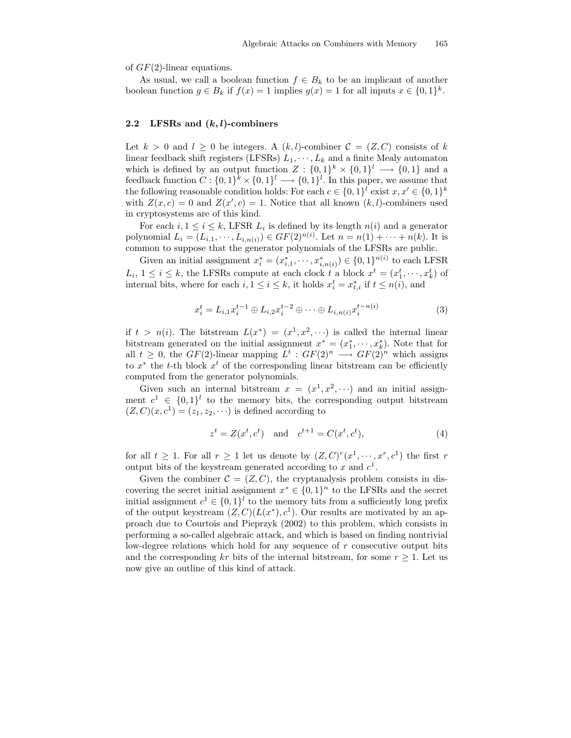of  $GF(2)$ -linear equations.

As usual, we call a boolean function  $f \in B_k$  to be an implicant of another boolean function  $g \in B_k$  if  $f(x) = 1$  implies  $g(x) = 1$  for all inputs  $x \in \{0,1\}^k$ .

### 2.2 LFSRs and  $(k, l)$ -combiners

Let  $k > 0$  and  $l \geq 0$  be integers. A  $(k, l)$ -combiner  $\mathcal{C} = (Z, C)$  consists of k linear feedback shift registers (LFSRs)  $L_1, \dots, L_k$  and a finite Mealy automaton which is defined by an output function  $Z: \{0,1\}^k \times \{0,1\}^l \longrightarrow \{0,1\}$  and a feedback function  $C: \{0,1\}^k \times \{0,1\}^l \longrightarrow \{0,1\}^l$ . In this paper, we assume that the following reasonable condition holds: For each  $c \in \{0,1\}^l$  exist  $x, x' \in \{0,1\}^k$ with  $Z(x, c) = 0$  and  $Z(x', c) = 1$ . Notice that all known  $(k, l)$ -combiners used in cryptosystems are of this kind.

For each  $i, 1 \leq i \leq k$ , LFSR  $L_i$  is defined by its length  $n(i)$  and a generator polynomial  $L_i = (L_{i,1}, \dots, L_{i,n(i)}) \in GF(2)^{n(i)}$ . Let  $n = n(1) + \dots + n(k)$ . It is common to suppose that the generator polynomials of the LFSRs are public.

Given an initial assignment  $x_i^* = (x_{i,1}^*, \dots, x_{i,n(i)}^*) \in \{0,1\}^{n(i)}$  to each LFSR  $L_i$ ,  $1 \leq i \leq k$ , the LFSRs compute at each clock t a block  $x^t = (x_1^t, \dots, x_k^t)$  of internal bits, where for each  $i, 1 \leq i \leq k$ , it holds  $x_i^t = x_{t,i}^*$  if  $t \leq n(i)$ , and

$$
x_i^t = L_{i,1} x_i^{t-1} \oplus L_{i,2} x_i^{t-2} \oplus \dots \oplus L_{i,n(i)} x_i^{t-n(i)}
$$
(3)

if  $t > n(i)$ . The bitstream  $L(x^*) = (x^1, x^2, \dots)$  is called the internal linear bitstream generated on the initial assignment  $x^* = (x_1^*, \dots, x_k^*)$ . Note that for all  $t \geq 0$ , the  $GF(2)$ -linear mapping  $L^t : GF(2)^n \longrightarrow GF(2)^n$  which assigns to  $x^*$  the t-th block  $x^t$  of the corresponding linear bitstream can be efficiently computed from the generator polynomials.

Given such an internal bitstream  $x = (x^1, x^2, \cdots)$  and an initial assignment  $c^1 \in \{0,1\}^l$  to the memory bits, the corresponding output bitstream  $(Z, C)(x, c<sup>1</sup>) = (z<sub>1</sub>, z<sub>2</sub>, \cdots)$  is defined according to

$$
z^{t} = Z(x^{t}, c^{t})
$$
 and  $c^{t+1} = C(x^{t}, c^{t}),$  (4)

for all  $t \geq 1$ . For all  $r \geq 1$  let us denote by  $(Z, C)^r(x^1, \dots, x^r, c^1)$  the first r output bits of the keystream generated according to x and  $c<sup>1</sup>$ .

Given the combiner  $\mathcal{C} = (Z, C)$ , the cryptanalysis problem consists in discovering the secret initial assignment  $x^* \in \{0,1\}^n$  to the LFSRs and the secret initial assignment  $c^1 \in \{0,1\}^l$  to the memory bits from a sufficiently long prefix of the output keystream  $(Z, C)(L(x^*), c^1)$ . Our results are motivated by an approach due to Courtois and Pieprzyk (2002) to this problem, which consists in performing a so-called algebraic attack, and which is based on finding nontrivial low-degree relations which hold for any sequence of r consecutive output bits and the corresponding kr bits of the internal bitstream, for some  $r \geq 1$ . Let us now give an outline of this kind of attack.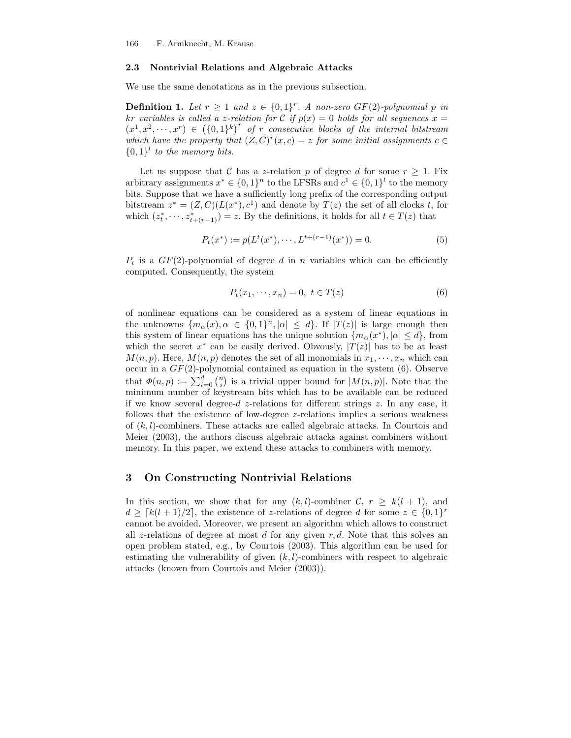#### 2.3 Nontrivial Relations and Algebraic Attacks

We use the same denotations as in the previous subsection.

**Definition 1.** Let  $r \geq 1$  and  $z \in \{0,1\}^r$ . A non-zero GF(2)-polynomial p in kr variables is called a z-relation for C if  $p(x) = 0$  holds for all sequences  $x =$  $(x^1, x^2, \dots, x^r) \in (\{0,1\}^k)^r$  of r consecutive blocks of the internal bitstream which have the property that  $(Z, C)^r(x, c) = z$  for some initial assignments  $c \in C$  $\{0,1\}$ <sup>l</sup> to the memory bits.

Let us suppose that C has a z-relation p of degree d for some  $r \geq 1$ . Fix arbitrary assignments  $x^* \in \{0,1\}^n$  to the LFSRs and  $c^1 \in \{0,1\}^l$  to the memory bits. Suppose that we have a sufficiently long prefix of the corresponding output bitstream  $z^* = (Z, C)(L(x^*), c^1)$  and denote by  $T(z)$  the set of all clocks t, for which  $(z_t^*, \dots, z_{t+(r-1)}^*) = z$ . By the definitions, it holds for all  $t \in T(z)$  that

$$
P_t(x^*) := p(L^t(x^*), \cdots, L^{t+(r-1)}(x^*)) = 0.
$$
\n<sup>(5)</sup>

 $P_t$  is a  $GF(2)$ -polynomial of degree d in n variables which can be efficiently computed. Consequently, the system

$$
P_t(x_1, \cdots, x_n) = 0, \ t \in T(z) \tag{6}
$$

of nonlinear equations can be considered as a system of linear equations in the unknowns  $\{m_{\alpha}(x), \alpha \in \{0,1\}^n, |\alpha| \leq d\}$ . If  $|T(z)|$  is large enough then this system of linear equations has the unique solution  $\{m_{\alpha}(x^{\ast}), |\alpha| \leq d\}$ , from which the secret  $x^*$  can be easily derived. Obvously,  $|T(z)|$  has to be at least  $M(n, p)$ . Here,  $M(n, p)$  denotes the set of all monomials in  $x_1, \dots, x_n$  which can occur in a  $GF(2)$ -polynomial contained as equation in the system  $(6)$ . Observe that  $\Phi(n,p) := \sum_{i=0}^d \binom{n}{i}$  is a trivial upper bound for  $|M(n,p)|$ . Note that the minimum number of keystream bits which has to be available can be reduced if we know several degree-d  $z$ -relations for different strings  $z$ . In any case, it follows that the existence of low-degree z-relations implies a serious weakness of  $(k, l)$ -combiners. These attacks are called algebraic attacks. In Courtois and Meier (2003), the authors discuss algebraic attacks against combiners without memory. In this paper, we extend these attacks to combiners with memory.

## 3 On Constructing Nontrivial Relations

In this section, we show that for any  $(k, l)$ -combiner  $\mathcal{C}$ ,  $r \geq k(l + 1)$ , and  $d \geq [k(l + 1)/2]$ , the existence of z-relations of degree d for some  $z \in \{0, 1\}^r$ cannot be avoided. Moreover, we present an algorithm which allows to construct all z-relations of degree at most d for any given  $r, d$ . Note that this solves an open problem stated, e.g., by Courtois (2003). This algorithm can be used for estimating the vulnerability of given  $(k, l)$ -combiners with respect to algebraic attacks (known from Courtois and Meier (2003)).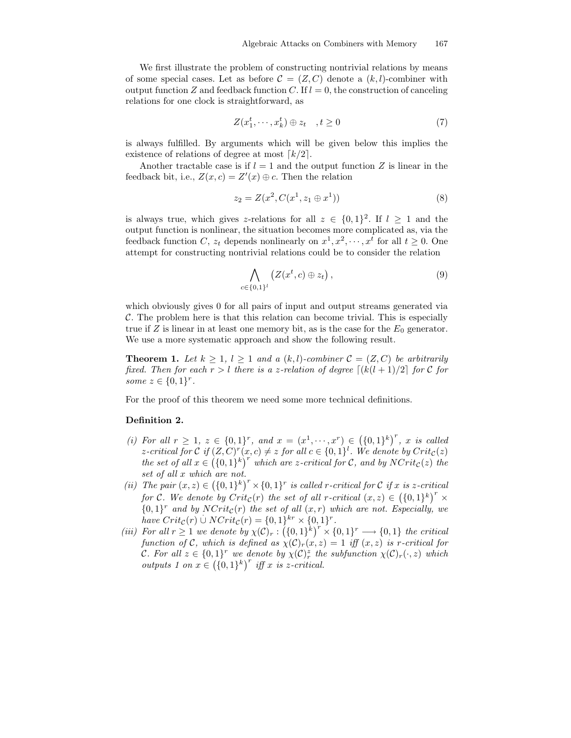We first illustrate the problem of constructing nontrivial relations by means of some special cases. Let as before  $C = (Z, C)$  denote a  $(k, l)$ -combiner with output function Z and feedback function C. If  $l = 0$ , the construction of canceling relations for one clock is straightforward, as

$$
Z(x_1^t, \cdots, x_k^t) \oplus z_t \quad , t \ge 0 \tag{7}
$$

is always fulfilled. By arguments which will be given below this implies the existence of relations of degree at most  $\lceil k/2 \rceil$ .

Another tractable case is if  $l = 1$  and the output function Z is linear in the feedback bit, i.e.,  $Z(x, c) = Z'(x) \oplus c$ . Then the relation

$$
z_2 = Z(x^2, C(x^1, z_1 \oplus x^1))
$$
\n(8)

is always true, which gives z-relations for all  $z \in \{0,1\}^2$ . If  $l \geq 1$  and the output function is nonlinear, the situation becomes more complicated as, via the feedback function C,  $z_t$  depends nonlinearly on  $x^1, x^2, \dots, x^t$  for all  $t \geq 0$ . One attempt for constructing nontrivial relations could be to consider the relation

$$
\bigwedge_{c \in \{0,1\}^l} \left( Z(x^t, c) \oplus z_t \right), \tag{9}
$$

which obviously gives 0 for all pairs of input and output streams generated via C. The problem here is that this relation can become trivial. This is especially true if Z is linear in at least one memory bit, as is the case for the  $E_0$  generator. We use a more systematic approach and show the following result.

**Theorem 1.** Let  $k \geq 1$ ,  $l \geq 1$  and a  $(k, l)$ -combiner  $\mathcal{C} = (Z, C)$  be arbitrarily fixed. Then for each  $r > l$  there is a z-relation of degree  $\lceil (k(l + 1)/2) \rceil$  for C for some  $z \in \{0,1\}^r$ .

For the proof of this theorem we need some more technical definitions.

### Definition 2.

- (i) For all  $r \geq 1$ ,  $z \in \{0,1\}^r$ , and  $x = (x^1, \dots, x^r) \in (\{0,1\}^k)^r$ , x is called z-critical for C if  $(Z, C)^r(x, c) \neq z$  for all  $c \in \{0, 1\}^l$ . We denote by  $Crit_{\mathcal{C}}(z)$ the set of all  $x \in ((0,1)^k)^r$  which are z-critical for C, and by  $N\text{Crit}_c(z)$  the set of all x which are not.
- (ii) The pair  $(x, z) \in (\{0, 1\}^k)^r \times \{0, 1\}^r$  is called r-critical for C if x is z-critical for C. We denote by  $Crit_{\mathcal{C}}(r)$  the set of all r-critical  $(x, z) \in (\{0, 1\}^k)^r \times$  ${0,1}^r$  and by  $NCrit_c(r)$  the set of all  $(x, r)$  which are not. Especially, we have  $Crit_{\mathcal{C}}(r) \cup NCrit_{\mathcal{C}}(r) = \{0, 1\}^{kr} \times \{0, 1\}^r$ .
- (iii) For all  $r \geq 1$  we denote by  $\chi(C)_r : (\{0,1\}^k)^r \times \{0,1\}^r \longrightarrow \{0,1\}$  the critical function of C, which is defined as  $\chi(\mathcal{C})_r(x,z) = 1$  iff  $(x, z)$  is r-critical for C. For all  $z \in \{0,1\}^r$  we denote by  $\chi(\mathcal{C})_r^z$  the subfunction  $\chi(\mathcal{C})_r(\cdot, z)$  which outputs 1 on  $x \in (\{0,1\}^k)^r$  iff x is z-critical.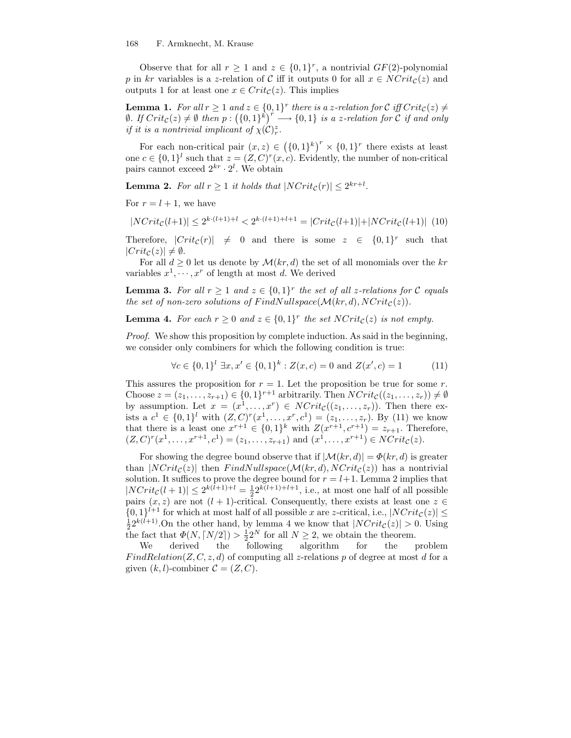Observe that for all  $r \geq 1$  and  $z \in \{0,1\}^r$ , a nontrivial  $GF(2)$ -polynomial p in kr variables is a z-relation of C iff it outputs 0 for all  $x \in \text{NCrit}_{\mathcal{C}}(z)$  and outputs 1 for at least one  $x \in Crit_{\mathcal{C}}(z)$ . This implies

**Lemma 1.** For all  $r \geq 1$  and  $z \in \{0,1\}^r$  there is a z-relation for C iff  $Crit_{\mathcal{C}}(z) \neq 0$  $\emptyset.$  If  $Crit_{\mathcal{C}}(z) \neq \emptyset$  then  $p: (\{0,1\}^k)^r \longrightarrow \{0,1\}$  is a z-relation for  $\overset{\sim}{\mathcal{C}}$  if and only if it is a nontrivial implicant of  $\chi(\mathcal{C})_r^z$ .

For each non-critical pair  $(x, z) \in (\{0, 1\}^k)^r \times \{0, 1\}^r$  there exists at least one  $c \in \{0,1\}^l$  such that  $z = (Z, C)^r(x, c)$ . Evidently, the number of non-critical pairs cannot exceed  $2^{kr} \cdot 2^l$ . We obtain

**Lemma 2.** For all  $r \geq 1$  it holds that  $|NCrit_{\mathcal{C}}(r)| \leq 2^{kr+l}$ .

For  $r = l + 1$ , we have

$$
|NCrit_{\mathcal{C}}(l+1)| \le 2^{k \cdot (l+1)+l} < 2^{k \cdot (l+1)+l+1} = |Crit_{\mathcal{C}}(l+1)| + |NCrit_{\mathcal{C}}(l+1)| \tag{10}
$$

Therefore,  $|Crit_{\mathcal{C}}(r)| \neq 0$  and there is some  $z \in \{0,1\}^r$  such that  $|Crit_{\mathcal{C}}(z)| \neq \emptyset.$ 

For all  $d \geq 0$  let us denote by  $\mathcal{M}(kr, d)$  the set of all monomials over the kr variables  $x^1, \dots, x^r$  of length at most d. We derived

**Lemma 3.** For all  $r \geq 1$  and  $z \in \{0,1\}^r$  the set of all z-relations for C equals the set of non-zero solutions of FindNullspace( $\mathcal{M}(kr, d)$ , NCrit<sub>C</sub>(z)).

**Lemma 4.** For each  $r \geq 0$  and  $z \in \{0,1\}^r$  the set  $NCrit_{\mathcal{C}}(z)$  is not empty.

Proof. We show this proposition by complete induction. As said in the beginning, we consider only combiners for which the following condition is true:

$$
\forall c \in \{0,1\}^l \; \exists x, x' \in \{0,1\}^k : Z(x,c) = 0 \text{ and } Z(x',c) = 1 \tag{11}
$$

This assures the proposition for  $r = 1$ . Let the proposition be true for some r. Choose  $z = (z_1, \ldots, z_{r+1}) \in \{0,1\}^{r+1}$  arbitrarily. Then  $NCrit_{\mathcal{C}}((z_1, \ldots, z_r)) \neq \emptyset$ by assumption. Let  $x = (x^1, \ldots, x^r) \in \text{NCrit}_{\mathcal{C}}((z_1, \ldots, z_r)).$  Then there exists a  $c^1 \in \{0,1\}^l$  with  $(Z, C)^r(x^1, \ldots, x^r, c^1) = (z_1, \ldots, z_r)$ . By (11) we know that there is a least one  $x^{r+1} \in \{0,1\}^k$  with  $Z(x^{r+1}, c^{r+1}) = z_{r+1}$ . Therefore,  $(Z, C)^{r}(x^{1}, \ldots, x^{r+1}, c^{1}) = (z_{1}, \ldots, z_{r+1})$  and  $(x^{1}, \ldots, x^{r+1}) \in NCrit_{\mathcal{C}}(z)$ .

For showing the degree bound observe that if  $|\mathcal{M}(kr, d)| = \Phi(kr, d)$  is greater than  $|NCrit_{\mathcal{C}}(z)|$  then  $FindNullspace(\mathcal{M}(kr, d), NCrit_{\mathcal{C}}(z))$  has a nontrivial solution. It suffices to prove the degree bound for  $r = l+1$ . Lemma 2 implies that  $|NCrit_{\mathcal{C}}(l+1)| \leq 2^{k(l+1)+l} = \frac{1}{2} 2^{k(l+1)+l+1}$ , i.e., at most one half of all possible pairs  $(x, z)$  are not  $(l + 1)$ -critical. Consequently, there exists at least one  $z \in$  $\{0,1\}^{l+1}$  for which at most half of all possible x are z-critical, i.e.,  $|NCrit_{\mathcal{C}}(z)| \le$  $\frac{1}{2}2^{k(l+1)}$ . On the other hand, by lemma 4 we know that  $|NCrit_{\mathcal{C}}(z)| > 0$ . Using the fact that  $\Phi(N, \lceil N/2 \rceil) > \frac{1}{2} 2^N$  for all  $N \geq 2$ , we obtain the theorem.

We derived the following algorithm for the problem  $FindRelation(Z, C, z, d)$  of computing all z-relations p of degree at most d for a given  $(k, l)$ -combiner  $C = (Z, C)$ .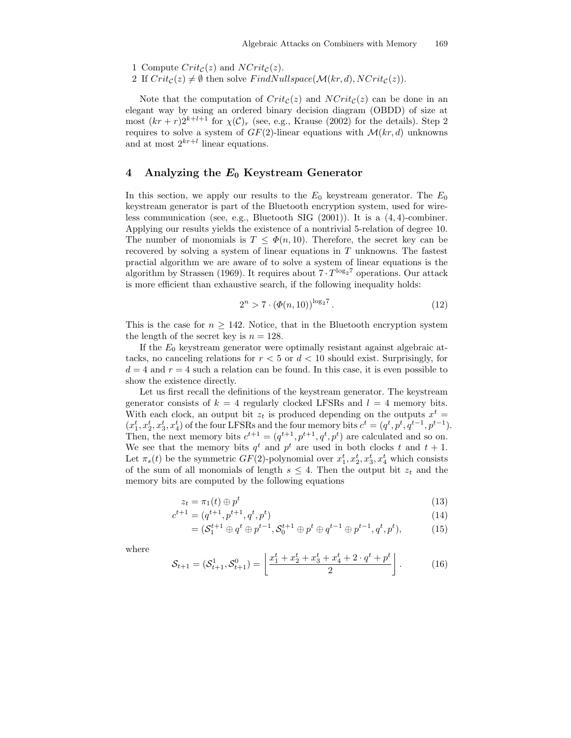- 1 Compute  $Crit_{\mathcal{C}}(z)$  and  $NCrit_{\mathcal{C}}(z)$ .
- 2 If  $Crit_{\mathcal{C}}(z) \neq \emptyset$  then solve  $FindNullspace(\mathcal{M}(kr, d), NCrit_{\mathcal{C}}(z)).$

Note that the computation of  $Crit_{\mathcal{C}}(z)$  and  $NCrit_{\mathcal{C}}(z)$  can be done in an elegant way by using an ordered binary decision diagram (OBDD) of size at most  $(kr + r)2^{k+l+1}$  for  $\chi(\mathcal{C})_r$  (see, e.g., Krause (2002) for the details). Step 2 requires to solve a system of  $GF(2)$ -linear equations with  $\mathcal{M}(kr, d)$  unknowns and at most  $2^{kr+l}$  linear equations.

## 4 Analyzing the  $E_0$  Keystream Generator

In this section, we apply our results to the  $E_0$  keystream generator. The  $E_0$ keystream generator is part of the Bluetooth encryption system, used for wireless communication (see, e.g., Bluetooth SIG  $(2001)$ ). It is a  $(4, 4)$ -combiner. Applying our results yields the existence of a nontrivial 5-relation of degree 10. The number of monomials is  $T \leq \Phi(n, 10)$ . Therefore, the secret key can be recovered by solving a system of linear equations in  $T$  unknowns. The fastest practial algorithm we are aware of to solve a system of linear equations is the algorithm by Strassen (1969). It requires about  $7 \cdot T^{\log_2 7}$  operations. Our attack is more efficient than exhaustive search, if the following inequality holds:

$$
2^n > 7 \cdot (\Phi(n, 10))^{\log_2 7} . \tag{12}
$$

This is the case for  $n \geq 142$ . Notice, that in the Bluetooth encryption system the length of the secret key is  $n = 128$ .

If the  $E_0$  keystream generator were optimally resistant against algebraic attacks, no canceling relations for  $r < 5$  or  $d < 10$  should exist. Surprisingly, for  $d = 4$  and  $r = 4$  such a relation can be found. In this case, it is even possible to show the existence directly.

Let us first recall the definitions of the keystream generator. The keystream generator consists of  $k = 4$  regularly clocked LFSRs and  $l = 4$  memory bits. With each clock, an output bit  $z_t$  is produced depending on the outputs  $x^t =$  $(x_1^t, x_2^t, x_3^t, x_4^t)$  of the four LFSRs and the four memory bits  $c^t = (q^t, p^t, q^{t-1}, p^{t-1})$ . Then, the next memory bits  $c^{t+1} = (q^{t+1}, p^{t+1}, q^t, p^t)$  are calculated and so on. We see that the memory bits  $q^t$  and  $p^t$  are used in both clocks t and  $t + 1$ . Let  $\pi_s(t)$  be the symmetric  $GF(2)$ -polynomial over  $x_1^t, x_2^t, x_3^t, x_4^t$  which consists of the sum of all monomials of length  $s \leq 4$ . Then the output bit  $z_t$  and the memory bits are computed by the following equations

$$
z_t = \pi_1(t) \oplus p^t \tag{13}
$$

$$
c^{t+1} = (q^{t+1}, p^{t+1}, q^t, p^t) \tag{14}
$$

$$
= (S_1^{t+1} \oplus q^t \oplus p^{t-1}, S_0^{t+1} \oplus p^t \oplus q^{t-1} \oplus p^{t-1}, q^t, p^t), \tag{15}
$$

where

$$
S_{t+1} = (S_{t+1}^1, S_{t+1}^0) = \left\lfloor \frac{x_1^t + x_2^t + x_3^t + x_4^t + 2 \cdot q^t + p^t}{2} \right\rfloor. \tag{16}
$$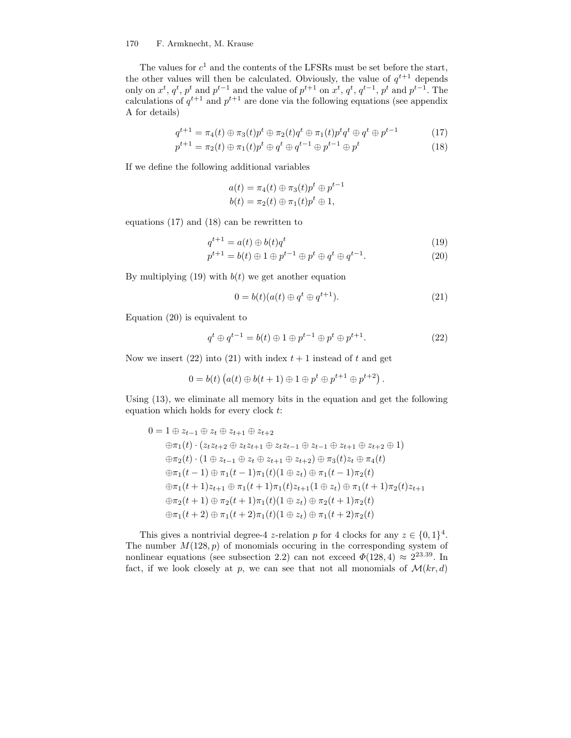#### 170 F. Armknecht, M. Krause

The values for  $c^1$  and the contents of the LFSRs must be set before the start, the other values will then be calculated. Obviously, the value of  $q^{t+1}$  depends only on  $x^t$ ,  $q^t$ ,  $p^t$  and  $p^{t-1}$  and the value of  $p^{t+1}$  on  $x^t$ ,  $q^t$ ,  $q^{t-1}$ ,  $p^t$  and  $p^{t-1}$ . The calculations of  $q^{t+1}$  and  $p^{t+1}$  are done via the following equations (see appendix A for details)

$$
q^{t+1} = \pi_4(t) \oplus \pi_3(t) p^t \oplus \pi_2(t) q^t \oplus \pi_1(t) p^t q^t \oplus q^t \oplus p^{t-1}
$$
 (17)

$$
p^{t+1} = \pi_2(t) \oplus \pi_1(t) p^t \oplus q^t \oplus q^{t-1} \oplus p^{t-1} \oplus p^t \tag{18}
$$

If we define the following additional variables

$$
a(t) = \pi_4(t) \oplus \pi_3(t) p^t \oplus p^{t-1}
$$
  

$$
b(t) = \pi_2(t) \oplus \pi_1(t) p^t \oplus 1,
$$

equations (17) and (18) can be rewritten to

$$
q^{t+1} = a(t) \oplus b(t)q^t \tag{19}
$$

$$
p^{t+1} = b(t) \oplus 1 \oplus p^{t-1} \oplus p^t \oplus q^t \oplus q^{t-1}.
$$
 (20)

By multiplying (19) with  $b(t)$  we get another equation

$$
0 = b(t)(a(t) \oplus q^t \oplus q^{t+1}).
$$
\n(21)

Equation (20) is equivalent to

$$
q^{t} \oplus q^{t-1} = b(t) \oplus 1 \oplus p^{t-1} \oplus p^{t} \oplus p^{t+1}.
$$
 (22)

Now we insert (22) into (21) with index  $t + 1$  instead of t and get

$$
0 = b(t) (a(t) \oplus b(t+1) \oplus 1 \oplus p^t \oplus p^{t+1} \oplus p^{t+2}).
$$

Using (13), we eliminate all memory bits in the equation and get the following equation which holds for every clock t:

$$
0 = 1 \oplus z_{t-1} \oplus z_t \oplus z_{t+1} \oplus z_{t+2}
$$
  
\n
$$
\oplus \pi_1(t) \cdot (z_t z_{t+2} \oplus z_t z_{t+1} \oplus z_t z_{t-1} \oplus z_{t-1} \oplus z_{t+1} \oplus z_{t+2} \oplus 1)
$$
  
\n
$$
\oplus \pi_2(t) \cdot (1 \oplus z_{t-1} \oplus z_t \oplus z_{t+1} \oplus z_{t+2}) \oplus \pi_3(t) z_t \oplus \pi_4(t)
$$
  
\n
$$
\oplus \pi_1(t-1) \oplus \pi_1(t-1) \pi_1(t) (1 \oplus z_t) \oplus \pi_1(t-1) \pi_2(t)
$$
  
\n
$$
\oplus \pi_1(t+1) z_{t+1} \oplus \pi_1(t+1) \pi_1(t) z_{t+1} (1 \oplus z_t) \oplus \pi_1(t+1) \pi_2(t) z_{t+1}
$$
  
\n
$$
\oplus \pi_2(t+1) \oplus \pi_2(t+1) \pi_1(t) (1 \oplus z_t) \oplus \pi_2(t+1) \pi_2(t)
$$
  
\n
$$
\oplus \pi_1(t+2) \oplus \pi_1(t+2) \pi_1(t) (1 \oplus z_t) \oplus \pi_1(t+2) \pi_2(t)
$$

This gives a nontrivial degree-4 z-relation p for 4 clocks for any  $z \in \{0,1\}^4$ . The number  $M(128, p)$  of monomials occuring in the corresponding system of nonlinear equations (see subsection 2.2) can not exceed  $\Phi(128, 4) \approx 2^{23.39}$ . In fact, if we look closely at p, we can see that not all monomials of  $\mathcal{M}(kr, d)$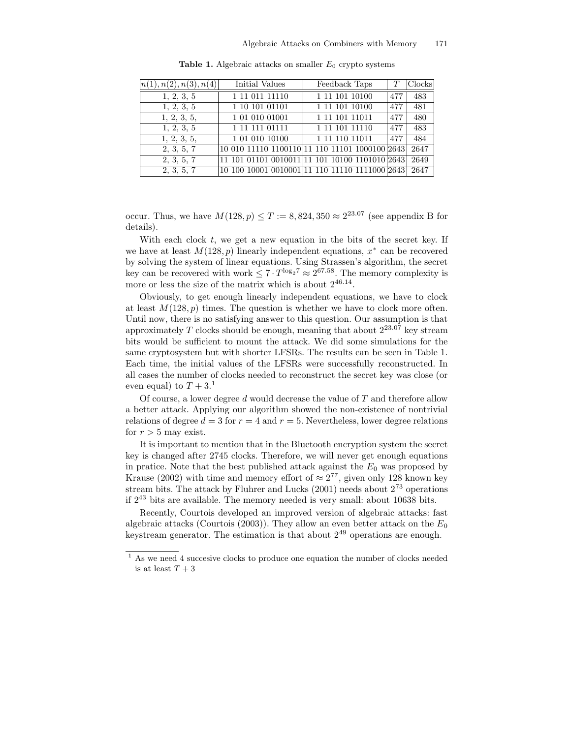| n(1), n(2), n(3), n(4) | Initial Values | Feedback Taps                                       |     | Clocks |
|------------------------|----------------|-----------------------------------------------------|-----|--------|
| 1, 2, 3, 5             | 1 11 011 11110 | 1 11 101 10100                                      | 477 | 483    |
| 1, 2, 3, 5             | 1 10 101 01101 | 1 11 101 10100                                      | 477 | 481    |
| 1, 2, 3, 5,            | 1 01 010 01001 | 1 11 101 11011                                      | 477 | 480    |
| 1, 2, 3, 5             | 1 11 111 01111 | 1 11 101 11110                                      | 477 | 483    |
| 1, 2, 3, 5,            | 10101010100    | 1 11 110 11011                                      | 477 | 484    |
| 2, 3, 5, 7             |                | 10 010 11110 1100110 11 110 11101 1000100 2643      |     | 2647   |
| 2, 3, 5, 7             |                | 11 101 01101 0010011 11 101 10100 1101010 2643      |     | 2649   |
| 2, 3, 5, 7             |                | 10 100 10001 0010001 11 110 11110 1111000 2643 2647 |     |        |

Table 1. Algebraic attacks on smaller  $E_0$  crypto systems

occur. Thus, we have  $M(128, p) \leq T := 8,824,350 \approx 2^{23.07}$  (see appendix B for details).

With each clock  $t$ , we get a new equation in the bits of the secret key. If we have at least  $M(128, p)$  linearly independent equations,  $x^*$  can be recovered by solving the system of linear equations. Using Strassen's algorithm, the secret key can be recovered with work  $\leq 7 \cdot T^{\log_2 7} \approx 2^{67.58}$ . The memory complexity is more or less the size of the matrix which is about  $2^{46.14}$ .

Obviously, to get enough linearly independent equations, we have to clock at least  $M(128, p)$  times. The question is whether we have to clock more often. Until now, there is no satisfying answer to this question. Our assumption is that approximately T clocks should be enough, meaning that about  $2^{23.07}$  key stream bits would be sufficient to mount the attack. We did some simulations for the same cryptosystem but with shorter LFSRs. The results can be seen in Table 1. Each time, the initial values of the LFSRs were successfully reconstructed. In all cases the number of clocks needed to reconstruct the secret key was close (or even equal) to  $T + 3<sup>1</sup>$ 

Of course, a lower degree  $d$  would decrease the value of  $T$  and therefore allow a better attack. Applying our algorithm showed the non-existence of nontrivial relations of degree  $d = 3$  for  $r = 4$  and  $r = 5$ . Nevertheless, lower degree relations for  $r > 5$  may exist.

It is important to mention that in the Bluetooth encryption system the secret key is changed after 2745 clocks. Therefore, we will never get enough equations in pratice. Note that the best published attack against the  $E_0$  was proposed by Krause (2002) with time and memory effort of  $\approx 2^{77}$ , given only 128 known key stream bits. The attack by Fluhrer and Lucks (2001) needs about  $2^{73}$  operations if 2 <sup>43</sup> bits are available. The memory needed is very small: about 10638 bits.

Recently, Courtois developed an improved version of algebraic attacks: fast algebraic attacks (Courtois (2003)). They allow an even better attack on the  $E_0$ keystream generator. The estimation is that about  $2^{49}$  operations are enough.

<sup>1</sup> As we need 4 succesive clocks to produce one equation the number of clocks needed is at least  $T+3$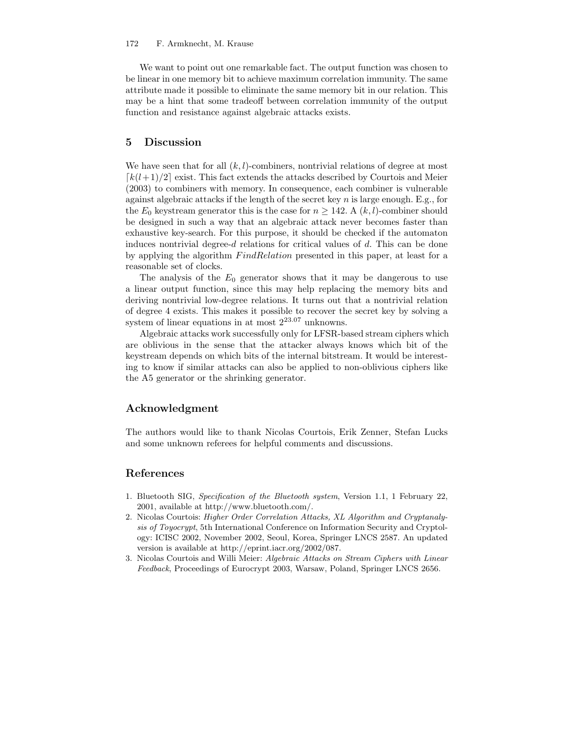#### 172 F. Armknecht, M. Krause

We want to point out one remarkable fact. The output function was chosen to be linear in one memory bit to achieve maximum correlation immunity. The same attribute made it possible to eliminate the same memory bit in our relation. This may be a hint that some tradeoff between correlation immunity of the output function and resistance against algebraic attacks exists.

## 5 Discussion

We have seen that for all  $(k, l)$ -combiners, nontrivial relations of degree at most  $\lceil k(l+1)/2 \rceil$  exist. This fact extends the attacks described by Courtois and Meier (2003) to combiners with memory. In consequence, each combiner is vulnerable against algebraic attacks if the length of the secret key  $n$  is large enough. E.g., for the  $E_0$  keystream generator this is the case for  $n \ge 142$ . A  $(k, l)$ -combiner should be designed in such a way that an algebraic attack never becomes faster than exhaustive key-search. For this purpose, it should be checked if the automaton induces nontrivial degree- $d$  relations for critical values of  $d$ . This can be done by applying the algorithm FindRelation presented in this paper, at least for a reasonable set of clocks.

The analysis of the  $E_0$  generator shows that it may be dangerous to use a linear output function, since this may help replacing the memory bits and deriving nontrivial low-degree relations. It turns out that a nontrivial relation of degree 4 exists. This makes it possible to recover the secret key by solving a system of linear equations in at most  $2^{23.07}$  unknowns.

Algebraic attacks work successfully only for LFSR-based stream ciphers which are oblivious in the sense that the attacker always knows which bit of the keystream depends on which bits of the internal bitstream. It would be interesting to know if similar attacks can also be applied to non-oblivious ciphers like the A5 generator or the shrinking generator.

## Acknowledgment

The authors would like to thank Nicolas Courtois, Erik Zenner, Stefan Lucks and some unknown referees for helpful comments and discussions.

## References

- 1. Bluetooth SIG, Specification of the Bluetooth system, Version 1.1, 1 February 22, 2001, available at http://www.bluetooth.com/.
- 2. Nicolas Courtois: Higher Order Correlation Attacks, XL Algorithm and Cryptanalysis of Toyocrypt, 5th International Conference on Information Security and Cryptology: ICISC 2002, November 2002, Seoul, Korea, Springer LNCS 2587. An updated version is available at http://eprint.iacr.org/2002/087.
- 3. Nicolas Courtois and Willi Meier: Algebraic Attacks on Stream Ciphers with Linear Feedback, Proceedings of Eurocrypt 2003, Warsaw, Poland, Springer LNCS 2656.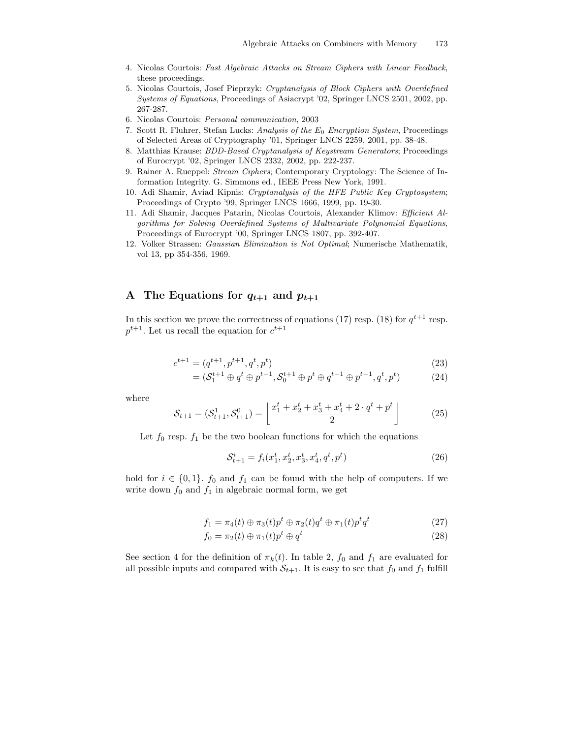- 4. Nicolas Courtois: Fast Algebraic Attacks on Stream Ciphers with Linear Feedback, these proceedings.
- 5. Nicolas Courtois, Josef Pieprzyk: Cryptanalysis of Block Ciphers with Overdefined Systems of Equations, Proceedings of Asiacrypt '02, Springer LNCS 2501, 2002, pp. 267-287.
- 6. Nicolas Courtois: Personal communication, 2003
- 7. Scott R. Fluhrer, Stefan Lucks: Analysis of the  $E_0$  Encryption System, Proceedings of Selected Areas of Cryptography '01, Springer LNCS 2259, 2001, pp. 38-48.
- 8. Matthias Krause: BDD-Based Cryptanalysis of Keystream Generators; Proceedings of Eurocrypt '02, Springer LNCS 2332, 2002, pp. 222-237.
- 9. Rainer A. Rueppel: Stream Ciphers; Contemporary Cryptology: The Science of Information Integrity. G. Simmons ed., IEEE Press New York, 1991.
- 10. Adi Shamir, Aviad Kipnis: Cryptanalysis of the HFE Public Key Cryptosystem; Proceedings of Crypto '99, Springer LNCS 1666, 1999, pp. 19-30.
- 11. Adi Shamir, Jacques Patarin, Nicolas Courtois, Alexander Klimov: Efficient Algorithms for Solving Overdefined Systems of Multivariate Polynomial Equations, Proceedings of Eurocrypt '00, Springer LNCS 1807, pp. 392-407.
- 12. Volker Strassen: Gaussian Elimination is Not Optimal; Numerische Mathematik, vol 13, pp 354-356, 1969.

# A The Equations for  $q_{t+1}$  and  $p_{t+1}$

In this section we prove the correctness of equations (17) resp. (18) for  $q^{t+1}$  resp.  $p^{t+1}$ . Let us recall the equation for  $c^{t+1}$ 

$$
c^{t+1} = (q^{t+1}, p^{t+1}, q^t, p^t)
$$
\n(23)

$$
= (S_1^{t+1} \oplus q^t \oplus p^{t-1}, S_0^{t+1} \oplus p^t \oplus q^{t-1} \oplus p^{t-1}, q^t, p^t) \tag{24}
$$

where

$$
S_{t+1} = (S_{t+1}^1, S_{t+1}^0) = \left\lfloor \frac{x_1^t + x_2^t + x_3^t + x_4^t + 2 \cdot q^t + p^t}{2} \right\rfloor \tag{25}
$$

Let  $f_0$  resp.  $f_1$  be the two boolean functions for which the equations

$$
S_{t+1}^i = f_i(x_1^t, x_2^t, x_3^t, x_4^t, q^t, p^t)
$$
\n(26)

hold for  $i \in \{0,1\}$ .  $f_0$  and  $f_1$  can be found with the help of computers. If we write down  $f_0$  and  $f_1$  in algebraic normal form, we get

$$
f_1 = \pi_4(t) \oplus \pi_3(t) p^t \oplus \pi_2(t) q^t \oplus \pi_1(t) p^t q^t \tag{27}
$$

$$
f_0 = \pi_2(t) \oplus \pi_1(t) p^t \oplus q^t \tag{28}
$$

See section 4 for the definition of  $\pi_k(t)$ . In table 2,  $f_0$  and  $f_1$  are evaluated for all possible inputs and compared with  $S_{t+1}$ . It is easy to see that  $f_0$  and  $f_1$  fulfill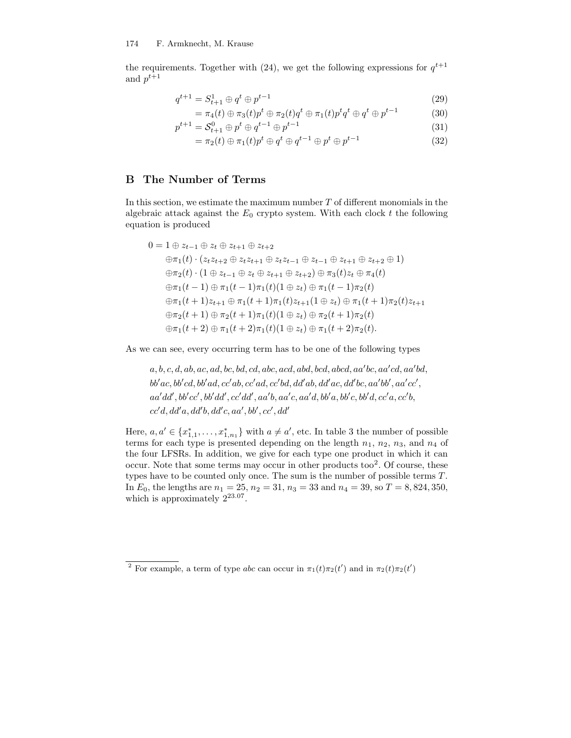the requirements. Together with (24), we get the following expressions for  $q^{t+1}$ and  $p^{t+1}$ 

$$
q^{t+1} = S_{t+1}^1 \oplus q^t \oplus p^{t-1}
$$
\n(29)

$$
= \pi_4(t) \oplus \pi_3(t) p^t \oplus \pi_2(t) q^t \oplus \pi_1(t) p^t q^t \oplus q^t \oplus p^{t-1}
$$
 (30)

$$
p^{t+1} = S_{t+1}^0 \oplus p^t \oplus q^{t-1} \oplus p^{t-1}
$$
\n(31)

$$
= \pi_2(t) \oplus \pi_1(t) p^t \oplus q^t \oplus q^{t-1} \oplus p^t \oplus p^{t-1}
$$
\n(32)

# B The Number of Terms

In this section, we estimate the maximum number T of different monomials in the algebraic attack against the  $E_0$  crypto system. With each clock  $t$  the following equation is produced

$$
0 = 1 \oplus z_{t-1} \oplus z_t \oplus z_{t+1} \oplus z_{t+2}
$$
  
\n
$$
\oplus \pi_1(t) \cdot (z_t z_{t+2} \oplus z_t z_{t+1} \oplus z_t z_{t-1} \oplus z_{t-1} \oplus z_{t+1} \oplus z_{t+2} \oplus 1)
$$
  
\n
$$
\oplus \pi_2(t) \cdot (1 \oplus z_{t-1} \oplus z_t \oplus z_{t+1} \oplus z_{t+2}) \oplus \pi_3(t) z_t \oplus \pi_4(t)
$$
  
\n
$$
\oplus \pi_1(t-1) \oplus \pi_1(t-1) \pi_1(t) (1 \oplus z_t) \oplus \pi_1(t-1) \pi_2(t)
$$
  
\n
$$
\oplus \pi_1(t+1) z_{t+1} \oplus \pi_1(t+1) \pi_1(t) z_{t+1} (1 \oplus z_t) \oplus \pi_1(t+1) \pi_2(t) z_{t+1}
$$
  
\n
$$
\oplus \pi_2(t+1) \oplus \pi_2(t+1) \pi_1(t) (1 \oplus z_t) \oplus \pi_2(t+1) \pi_2(t)
$$
  
\n
$$
\oplus \pi_1(t+2) \oplus \pi_1(t+2) \pi_1(t) (1 \oplus z_t) \oplus \pi_1(t+2) \pi_2(t).
$$

As we can see, every occurring term has to be one of the following types

 $a, b, c, d, ab, ac, ad, bc, bd, cd, abc, acd, abd, bcd, abcd, aa'bc, aa'cd, aa'bd,$  $bb'ac, bb'cd, bb'ad, cc'ab, cc'ad, cc'bd, dd'ab, dd'ac, dd'bc, aa'bb', aa'cc',$  $aa'dd', bb'cc', bb'dd', cc'dd', aa'b, aa'c, aa'd, bb'a, bb'c, bb'd, cc'a, cc'b,$  $cc'd, dd'a, dd'b, dd'c, aa', bb', cc', dd'$ 

Here,  $a, a' \in \{x_{1,1}^*, \ldots, x_{1,n_1}^*\}$  with  $a \neq a'$ , etc. In table 3 the number of possible terms for each type is presented depending on the length  $n_1$ ,  $n_2$ ,  $n_3$ , and  $n_4$  of the four LFSRs. In addition, we give for each type one product in which it can occur. Note that some terms may occur in other products too 2 . Of course, these types have to be counted only once. The sum is the number of possible terms T. In  $E_0$ , the lengths are  $n_1 = 25$ ,  $n_2 = 31$ ,  $n_3 = 33$  and  $n_4 = 39$ , so  $T = 8,824,350$ , which is approximately  $2^{23.07}$ .

<sup>&</sup>lt;sup>2</sup> For example, a term of type abc can occur in  $\pi_1(t)\pi_2(t')$  and in  $\pi_2(t)\pi_2(t')$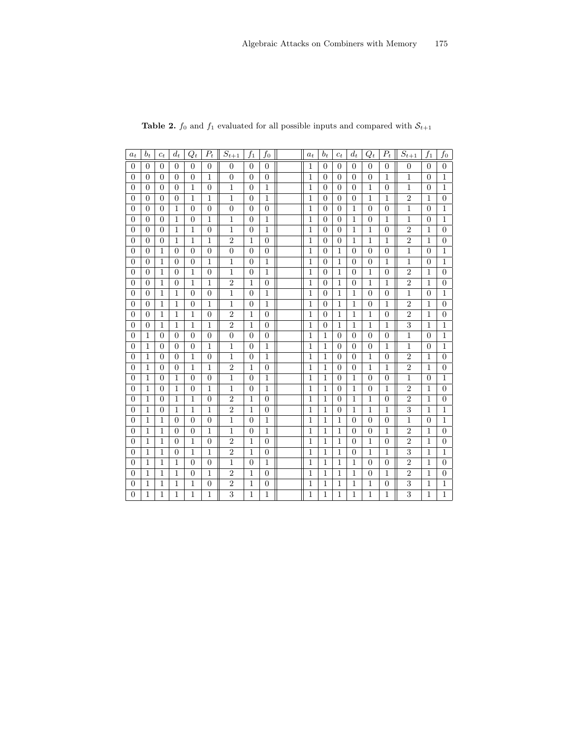| $a_t$            | $b_t$          | $c_t$          | $d_t$          | $Q_t$          | $P_t$          | $\overline{S_{t+1}}$ | $f_1$          | $f_{0}$        | $a_t$          | $b_t$          | $c_t$          | $d_t$          | $Q_t$            | $P_t$            | $\overline{S}_{t+1}$ | $f_1$          | $f_{0}$        |
|------------------|----------------|----------------|----------------|----------------|----------------|----------------------|----------------|----------------|----------------|----------------|----------------|----------------|------------------|------------------|----------------------|----------------|----------------|
| $\theta$         | $\overline{0}$ | $\overline{0}$ | $\overline{0}$ | $\overline{0}$ | $\overline{0}$ | $\boldsymbol{0}$     | $\theta$       | $\overline{0}$ | 1              | $\overline{0}$ | $\overline{0}$ | $\overline{0}$ | $\boldsymbol{0}$ | $\boldsymbol{0}$ | $\boldsymbol{0}$     | $\theta$       | $\overline{0}$ |
| $\overline{0}$   | $\overline{0}$ | $\overline{0}$ | $\theta$       | $\theta$       | 1              | $\overline{0}$       | $\theta$       | $\overline{0}$ | 1              | $\overline{0}$ | $\overline{0}$ | $\overline{0}$ | $\overline{0}$   | 1                | 1                    | $\theta$       | $\mathbf{1}$   |
| $\overline{0}$   | $\overline{0}$ | $\overline{0}$ | $\theta$       | 1              | $\theta$       | 1                    | $\theta$       | 1              | 1              | $\overline{0}$ | 0              | $\overline{0}$ | 1                | $\overline{0}$   | 1                    | 0              | $\mathbf{1}$   |
| $\overline{0}$   | $\Omega$       | $\overline{0}$ | $\Omega$       | $\mathbf{1}$   | $\mathbf{1}$   | $\overline{1}$       | $\theta$       | $\mathbf{1}$   | $\overline{1}$ | $\Omega$       | $\Omega$       | $\overline{0}$ | $\mathbf 1$      | 1                | $\overline{2}$       | 1              | $\overline{0}$ |
| $\overline{0}$   | $\Omega$       | $\theta$       | 1              | $\theta$       | $\theta$       | $\overline{0}$       | $\theta$       | $\overline{0}$ | 1              | $\Omega$       | $\Omega$       | $\mathbf{1}$   | $\theta$         | $\overline{0}$   | 1                    | $\theta$       | 1              |
| $\theta$         | $\overline{0}$ | $\overline{0}$ | 1              | $\theta$       | 1              | 1                    | $\overline{0}$ | 1              | 1              | $\theta$       | $\overline{0}$ | 1              | $\theta$         | 1                | 1                    | $\theta$       | 1              |
| $\boldsymbol{0}$ | $\overline{0}$ | $\overline{0}$ | 1              | 1              | $\overline{0}$ | 1                    | $\overline{0}$ | 1              | 1              | $\overline{0}$ | $\overline{0}$ | 1              | 1                | $\boldsymbol{0}$ | $\overline{2}$       | 1              | $\overline{0}$ |
| $\overline{0}$   | $\Omega$       | $\overline{0}$ | 1              | 1              | $\mathbf{1}$   | $\overline{2}$       | $\mathbf{1}$   | $\overline{0}$ | 1              | $\theta$       | $\theta$       | 1              | $\overline{1}$   | 1                | $\overline{2}$       | 1              | $\overline{0}$ |
| $\boldsymbol{0}$ | $\overline{0}$ | 1              | $\overline{0}$ | $\theta$       | $\theta$       | $\overline{0}$       | $\theta$       | $\overline{0}$ | 1              | 0              | 1              | $\overline{0}$ | $\theta$         | $\boldsymbol{0}$ | $\mathbf{1}$         | $\theta$       | 1              |
| $\overline{0}$   | $\overline{0}$ | 1              | $\theta$       | 0              | 1              | 1                    | $\theta$       | 1              | 1              | 0              | $\mathbf{1}$   | $\overline{0}$ | $\overline{0}$   | 1                | 1                    | 0              | 1              |
| $\overline{0}$   | $\overline{0}$ | 1              | 0              | 1              | $\theta$       | 1                    | $\overline{0}$ | 1              | 1              | 0              | $\mathbf{1}$   | $\overline{0}$ | 1                | $\boldsymbol{0}$ | $\overline{2}$       | 1              | $\overline{0}$ |
| $\theta$         | $\overline{0}$ | $\mathbf{1}$   | $\theta$       | 1              | $\mathbf{1}$   | $\overline{2}$       | $\mathbf{1}$   | $\overline{0}$ | $\overline{1}$ | $\overline{0}$ | $\mathbf{1}$   | $\overline{0}$ | $\overline{1}$   | 1                | $\overline{2}$       | 1              | $\overline{0}$ |
| $\overline{0}$   | $\overline{0}$ | $\mathbf{1}$   | 1              | $\overline{0}$ | $\theta$       | 1                    | $\theta$       | 1              | 1              | $\theta$       | $\mathbf{1}$   | 1              | $\overline{0}$   | $\boldsymbol{0}$ | $\mathbf{1}$         | $\theta$       | 1              |
| $\overline{0}$   | $\overline{0}$ | $\mathbf{1}$   | 1              | $\overline{0}$ | 1              | 1                    | $\overline{0}$ | 1              | 1              | $\overline{0}$ | $\mathbf{1}$   | 1              | $\overline{0}$   | 1                | $\overline{2}$       | 1              | $\overline{0}$ |
| $\overline{0}$   | $\overline{0}$ | $\mathbf{1}$   | 1              | 1              | $\theta$       | $\overline{2}$       | $\mathbf{1}$   | $\overline{0}$ | 1              | $\overline{0}$ | $\mathbf{1}$   | 1              | 1                | $\boldsymbol{0}$ | $\overline{2}$       | 1              | $\overline{0}$ |
| $\overline{0}$   | $\overline{0}$ | $\mathbf{1}$   | 1              | 1              | 1              | $\overline{2}$       | $\mathbf{1}$   | $\overline{0}$ | $\overline{1}$ | $\overline{0}$ | $\mathbf{1}$   | $\mathbf{1}$   | $\mathbf 1$      | 1                | 3                    | 1              | $\mathbf{1}$   |
| $\overline{0}$   | $\mathbf{1}$   | $\overline{0}$ | $\Omega$       | $\theta$       | $\Omega$       | $\overline{0}$       | $\overline{0}$ | $\overline{0}$ | 1              | 1              | $\theta$       | $\overline{0}$ | $\theta$         | $\boldsymbol{0}$ | $\mathbf{1}$         | $\theta$       | 1              |
| $\theta$         | $\mathbf{1}$   | $\overline{0}$ | 0              | $\theta$       | 1              | 1                    | $\theta$       | 1              | 1              | 1              | $\Omega$       | $\theta$       | $\theta$         | 1                | 1                    | 0              | $\mathbf{1}$   |
| $\overline{0}$   | $\mathbf{1}$   | $\overline{0}$ | $\overline{0}$ | 1              | $\theta$       | 1                    | $\overline{0}$ | 1              | 1              | 1              | $\overline{0}$ | $\overline{0}$ | 1                | $\boldsymbol{0}$ | $\overline{2}$       | 1              | $\overline{0}$ |
| $\overline{0}$   | $\mathbf{1}$   | $\overline{0}$ | $\theta$       | $\mathbf{1}$   | 1              | $\overline{2}$       | $\mathbf{1}$   | $\overline{0}$ | $\mathbf 1$    | $\mathbf{1}$   | $\theta$       | $\overline{0}$ | $\mathbf 1$      | 1                | $\overline{2}$       | 1              | $\overline{0}$ |
| $\overline{0}$   | $\mathbf{1}$   | $\overline{0}$ | 1              | $\theta$       | $\theta$       | $\mathbf{1}$         | $\theta$       | 1              | 1              | 1              | $\theta$       | 1              | $\overline{0}$   | $\boldsymbol{0}$ | 1                    | $\overline{0}$ | 1              |
| $\overline{0}$   | $\mathbf{1}$   | $\overline{0}$ | 1              | $\theta$       | 1              | $\mathbf 1$          | $\overline{0}$ | $\overline{1}$ | $\mathbf{1}$   | $\mathbf{1}$   | $\theta$       | $\mathbf{1}$   | $\overline{0}$   | 1                | $\overline{2}$       | 1              | $\theta$       |
| $\overline{0}$   | $\mathbf{1}$   | $\overline{0}$ | 1              | 1              | $\theta$       | $\overline{2}$       | 1              | $\overline{0}$ | 1              | 1              | $\theta$       | 1              | 1                | $\boldsymbol{0}$ | $\overline{2}$       | 1              | $\theta$       |
| $\theta$         | $\mathbf{1}$   | $\overline{0}$ | 1              | 1              | 1              | $\overline{2}$       | $\mathbf{1}$   | $\overline{0}$ | 1              | 1              | $\theta$       | 1              | 1                | 1                | 3                    | 1              | 1              |
| $\theta$         | $\mathbf{1}$   | 1              | $\overline{0}$ | $\theta$       | $\theta$       | $\mathbf 1$          | $\theta$       | 1              | 1              | 1              | $\mathbf{1}$   | $\overline{0}$ | $\theta$         | $\boldsymbol{0}$ | $\mathbf{1}$         | $\theta$       | 1              |
| $\theta$         | $\mathbf{1}$   | $\mathbf{1}$   | $\theta$       | $\theta$       | 1              | $\mathbf{1}$         | $\theta$       | $\overline{1}$ | 1              | 1              | $\mathbf{1}$   | $\overline{0}$ | $\overline{0}$   | 1                | $\overline{2}$       | 1              | $\theta$       |
| $\overline{0}$   | $\mathbf{1}$   | $\mathbf{1}$   | $\theta$       | $\mathbf{1}$   | $\theta$       | $\overline{2}$       | $\mathbf{1}$   | $\overline{0}$ | 1              | $\mathbf{1}$   | $\mathbf{1}$   | $\overline{0}$ | $\mathbf 1$      | $\boldsymbol{0}$ | $\overline{2}$       | 1              | $\overline{0}$ |
| $\overline{0}$   | $\mathbf{1}$   | $\mathbf{1}$   | $\theta$       | 1              | 1              | $\overline{2}$       | $\overline{1}$ | $\overline{0}$ | $\overline{1}$ | $\mathbf{1}$   | $\mathbf{1}$   | $\overline{0}$ | $\mathbf 1$      | 1                | 3                    | 1              | 1              |
| $\overline{0}$   | 1              | $\mathbf{1}$   | 1              | $\theta$       | $\theta$       | $\overline{1}$       | $\Omega$       | $\overline{1}$ | 1              | 1              | $\mathbf{1}$   | 1              | $\overline{0}$   | $\boldsymbol{0}$ | $\overline{2}$       | 1              | $\theta$       |
| $\Omega$         | 1              | 1              | 1              | $\Omega$       | 1              | $\overline{2}$       | 1              | $\overline{0}$ | 1              | 1              | 1              | 1              | $\theta$         | 1                | $\overline{2}$       | 1              | $\overline{0}$ |
| $\overline{0}$   | $\mathbf{1}$   | $\mathbf{1}$   | 1              | 1              | $\theta$       | $\overline{2}$       | $\mathbf{1}$   | $\overline{0}$ | 1              | $\mathbf{1}$   | $\mathbf{1}$   | $\mathbf{1}$   | $\overline{1}$   | $\boldsymbol{0}$ | 3                    | 1              | $\mathbf{1}$   |
| $\theta$         | 1              | 1              | 1              | 1              | 1              | $\overline{3}$       | 1              | 1              | 1              | 1              | 1              | 1              | 1                | 1                | 3                    | 1              | 1              |

Table 2.  $f_0$  and  $f_1$  evaluated for all possible inputs and compared with  $S_{t+1}$